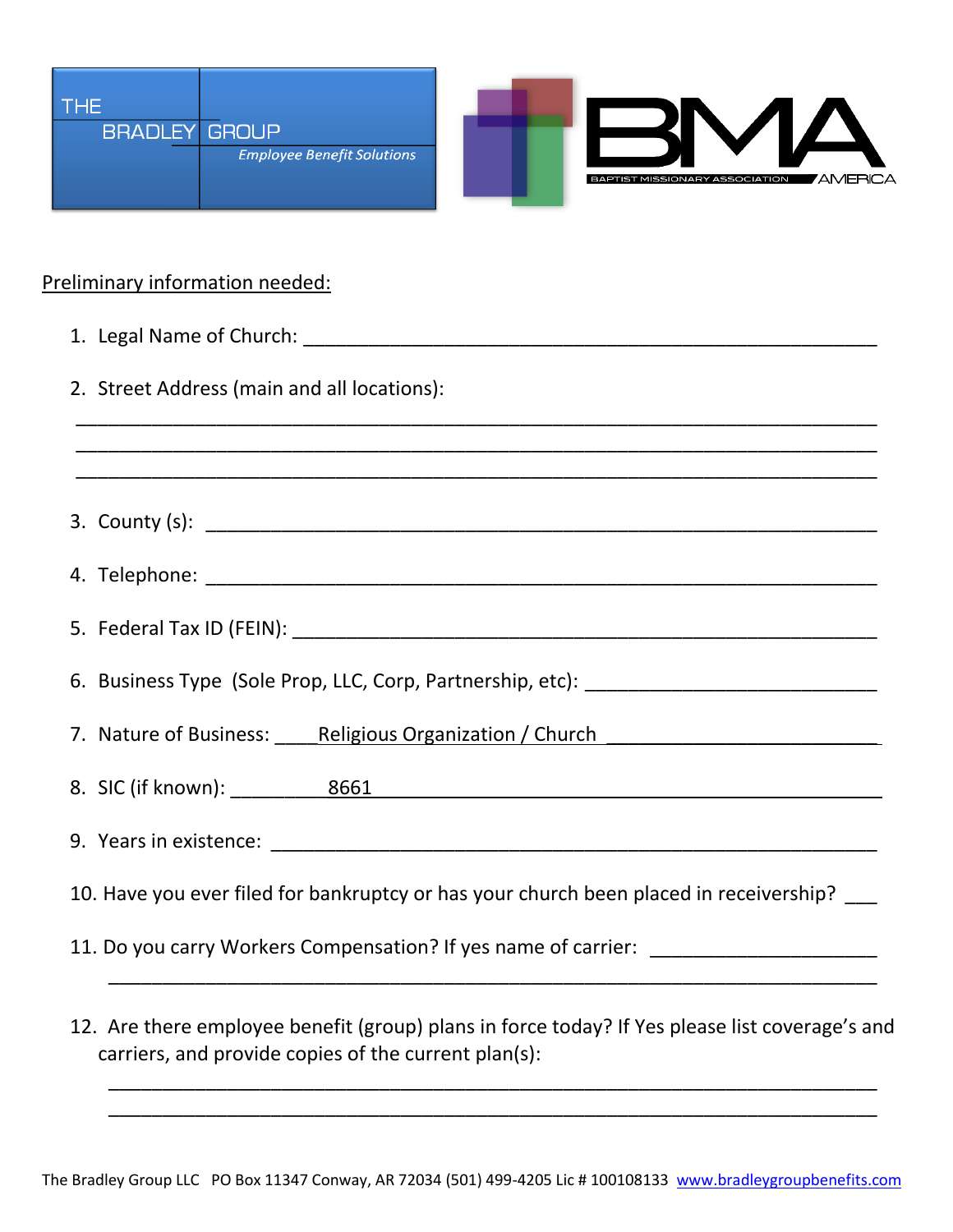

## Preliminary information needed:

| 2. Street Address (main and all locations):                                            |
|----------------------------------------------------------------------------------------|
|                                                                                        |
|                                                                                        |
|                                                                                        |
|                                                                                        |
| 6. Business Type (Sole Prop, LLC, Corp, Partnership, etc): _____________________       |
| 7. Nature of Business: Religious Organization / Church 7. Nature of Business: 2016     |
| 8. SIC (if known): 8661 8661                                                           |
|                                                                                        |
| 10. Have you ever filed for bankruptcy or has your church been placed in receivership? |
| 11. Do you carry Workers Compensation? If yes name of carrier: _________________       |
|                                                                                        |

12. Are there employee benefit (group) plans in force today? If Yes please list coverage's and carriers, and provide copies of the current plan(s):

\_\_\_\_\_\_\_\_\_\_\_\_\_\_\_\_\_\_\_\_\_\_\_\_\_\_\_\_\_\_\_\_\_\_\_\_\_\_\_\_\_\_\_\_\_\_\_\_\_\_\_\_\_\_\_\_\_\_\_\_\_\_\_\_\_\_\_\_\_\_\_ \_\_\_\_\_\_\_\_\_\_\_\_\_\_\_\_\_\_\_\_\_\_\_\_\_\_\_\_\_\_\_\_\_\_\_\_\_\_\_\_\_\_\_\_\_\_\_\_\_\_\_\_\_\_\_\_\_\_\_\_\_\_\_\_\_\_\_\_\_\_\_